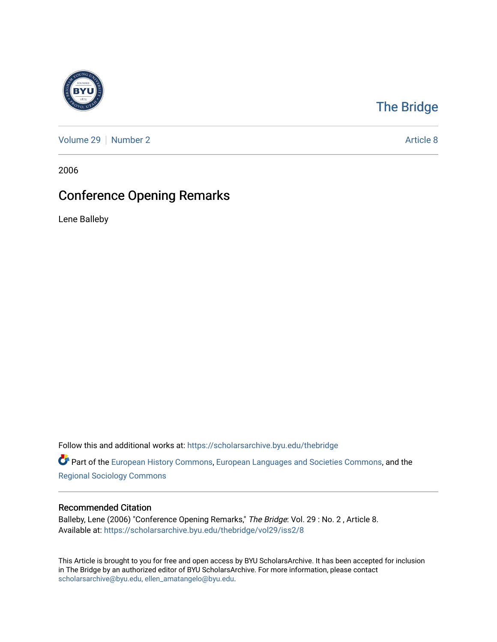

## [The Bridge](https://scholarsarchive.byu.edu/thebridge)

[Volume 29](https://scholarsarchive.byu.edu/thebridge/vol29) [Number 2](https://scholarsarchive.byu.edu/thebridge/vol29/iss2) Article 8

2006

# Conference Opening Remarks

Lene Balleby

Follow this and additional works at: [https://scholarsarchive.byu.edu/thebridge](https://scholarsarchive.byu.edu/thebridge?utm_source=scholarsarchive.byu.edu%2Fthebridge%2Fvol29%2Fiss2%2F8&utm_medium=PDF&utm_campaign=PDFCoverPages) 

Part of the [European History Commons](http://network.bepress.com/hgg/discipline/492?utm_source=scholarsarchive.byu.edu%2Fthebridge%2Fvol29%2Fiss2%2F8&utm_medium=PDF&utm_campaign=PDFCoverPages), [European Languages and Societies Commons,](http://network.bepress.com/hgg/discipline/482?utm_source=scholarsarchive.byu.edu%2Fthebridge%2Fvol29%2Fiss2%2F8&utm_medium=PDF&utm_campaign=PDFCoverPages) and the [Regional Sociology Commons](http://network.bepress.com/hgg/discipline/427?utm_source=scholarsarchive.byu.edu%2Fthebridge%2Fvol29%2Fiss2%2F8&utm_medium=PDF&utm_campaign=PDFCoverPages) 

#### Recommended Citation

Balleby, Lene (2006) "Conference Opening Remarks," The Bridge: Vol. 29 : No. 2, Article 8. Available at: [https://scholarsarchive.byu.edu/thebridge/vol29/iss2/8](https://scholarsarchive.byu.edu/thebridge/vol29/iss2/8?utm_source=scholarsarchive.byu.edu%2Fthebridge%2Fvol29%2Fiss2%2F8&utm_medium=PDF&utm_campaign=PDFCoverPages) 

This Article is brought to you for free and open access by BYU ScholarsArchive. It has been accepted for inclusion in The Bridge by an authorized editor of BYU ScholarsArchive. For more information, please contact [scholarsarchive@byu.edu, ellen\\_amatangelo@byu.edu](mailto:scholarsarchive@byu.edu,%20ellen_amatangelo@byu.edu).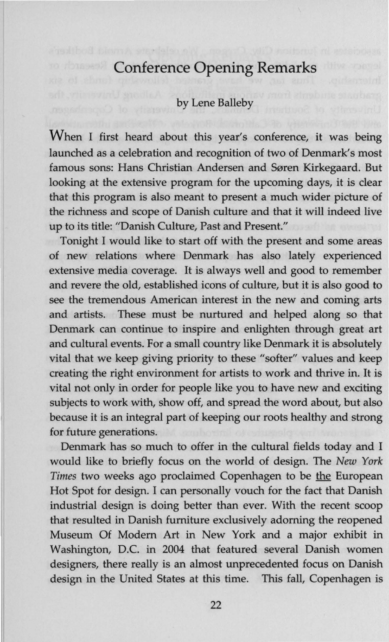### **Conference Opening Remarks**

### by Lene Balleby

When I first heard about this year's conference, it was being launched as a celebration and recognition of two of Denmark's most famous sons: Hans Christian Andersen and Søren Kirkegaard. But looking at the extensive program for the upcoming days, it is clear that this program is also meant to present a much wider picture of the richness and scope of Danish culture and that it will indeed live up to its title: "Danish Culture, Past and Present."

Tonight I would like to start off with the present and some areas of new relations where Denmark has also lately experienced extensive media coverage. It is always well and good to remember and revere the old, established icons of culture, but it is also good to see the tremendous American interest in the new and coming arts and artists. These must be nurtured and helped along so that Denmark can continue to inspire and enlighten through great art and cultural events. For a small country like Denmark it is absolutely vital that we keep giving priority to these "softer" values and keep creating the right environment for artists to work and thrive in. It is vital not only in order for people like you to have new and exciting subjects to work with, show off, and spread the word about, but also because it is an integral part of keeping our roots healthy and strong for future generations.

Denmark has so much to offer in the cultural fields today and I would like to briefly focus on the world of design. The *New York*  Times two weeks ago proclaimed Copenhagen to be the European Hot Spot for design. I can personally vouch for the fact that Danish industrial design is doing better than ever. With the recent scoop that resulted in Danish furniture exclusively adorning the reopened Museum Of Modem Art in New York and a major exhibit in Washington, D.C. in 2004 that featured several Danish women designers, there really is an almost unprecedented focus on Danish design in the United States at this time. This fall, Copenhagen is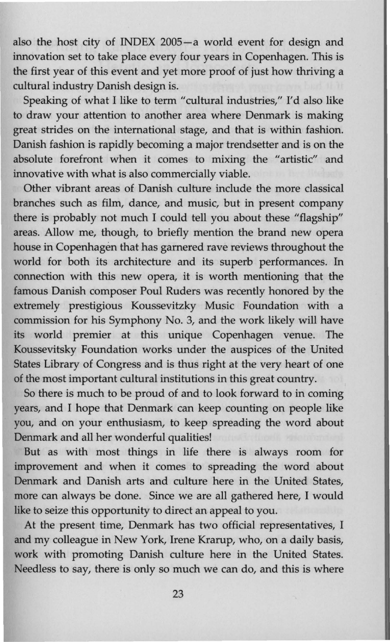also the host city of INDEX 2005-a world event for design and innovation set to take place every four years in Copenhagen. This is the first year of this event and yet more proof of just how thriving a cultural industry Danish design is.

Speaking of what I like to term "cultural industries," I'd also like to draw your attention to another area where Denmark is making great strides on the international stage, and that is within fashion. Danish fashion is rapidly becoming a major trendsetter and is on the absolute forefront when it comes to mixing the "artistic" and innovative with what is also commercially viable.

Other vibrant areas of Danish culture include the more classical branches such as film, dance, and music, but in present company there is probably not much I could tell you about these "flagship" areas. Allow me, though, to briefly mention the brand new opera house in Copenhagen that has garnered rave reviews throughout the world for both its architecture and its superb performances. In connection with this new opera, it is worth mentioning that the famous Danish composer Poul Ruders was recently honored by the extremely prestigious Koussevitzky Music Foundation with a commission for his Symphony No. 3, and the work likely will have its world premier at this unique Copenhagen venue. The Koussevitsky Foundation works under the auspices of the United States Library of Congress and is thus right at the very heart of one of the most important cultural institutions in this great country.

So there is much to be proud of and to look forward to in coming years, and I hope that Denmark can keep counting on people like you, and on your enthusiasm, to keep spreading the word about Denmark and all her wonderful qualities!

But as with most things in life there is always room for improvement and when it comes to spreading the word about Denmark and Danish arts and culture here in the United States, more can always be done. Since we are all gathered here, I would like to seize this opportunity to direct an appeal to you.

At the present time, Denmark has two official representatives, I and my colleague in New York, Irene Krarup, who, on a daily basis, work with promoting Danish culture here in the United States. Needless to say, there is only so much we can do, and this is where